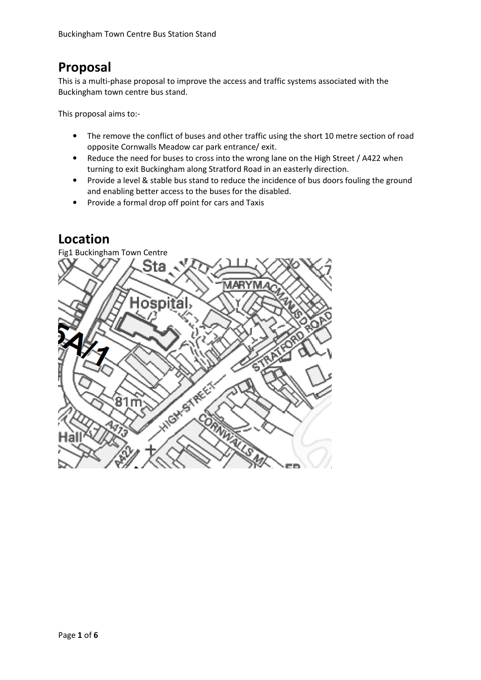## **Proposal**

This is a multi-phase proposal to improve the access and traffic systems associated with the Buckingham town centre bus stand.

This proposal aims to:-

- The remove the conflict of buses and other traffic using the short 10 metre section of road opposite Cornwalls Meadow car park entrance/ exit.
- Reduce the need for buses to cross into the wrong lane on the High Street / A422 when turning to exit Buckingham along Stratford Road in an easterly direction.
- Provide a level & stable bus stand to reduce the incidence of bus doors fouling the ground and enabling better access to the buses for the disabled.
- Provide a formal drop off point for cars and Taxis

## **Location**

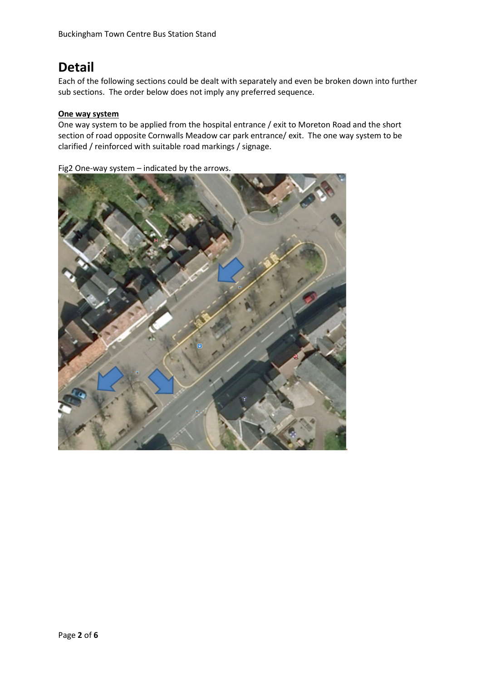# **Detail**

Each of the following sections could be dealt with separately and even be broken down into further sub sections. The order below does not imply any preferred sequence.

#### **One way system**

One way system to be applied from the hospital entrance / exit to Moreton Road and the short section of road opposite Cornwalls Meadow car park entrance/ exit. The one way system to be clarified / reinforced with suitable road markings / signage.

Fig2 One-way system – indicated by the arrows.

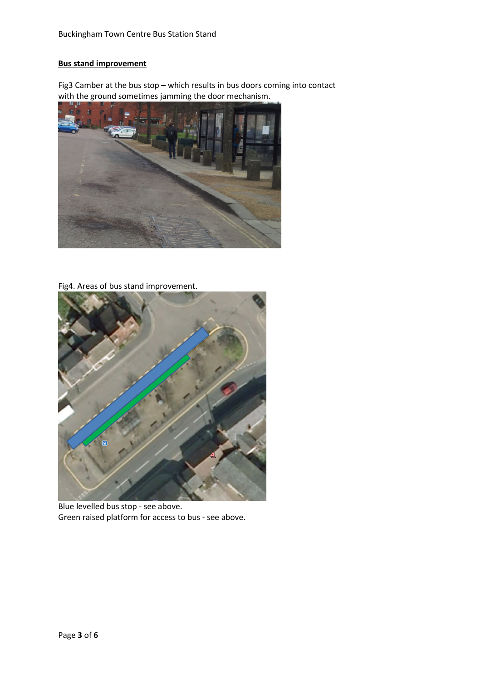### **Bus stand improvement**

Fig3 Camber at the bus stop – which results in bus doors coming into contact with the ground sometimes jamming the door mechanism.



Fig4. Areas of bus stand improvement.



Blue levelled bus stop - see above. Green raised platform for access to bus - see above.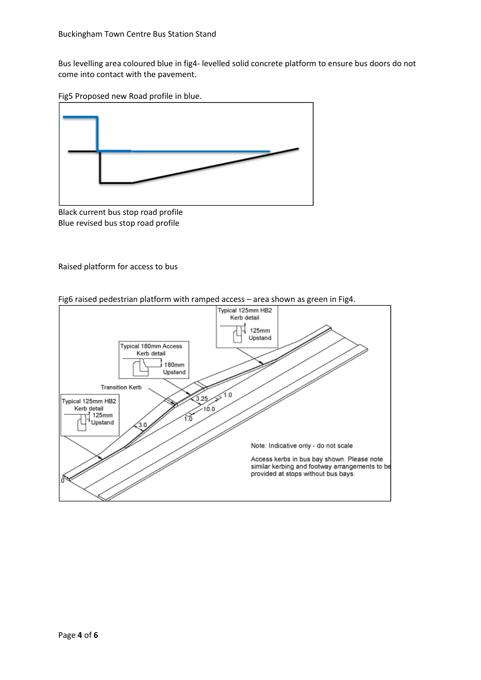Bus levelling area coloured blue in fig4- levelled solid concrete platform to ensure bus doors do not come into contact with the pavement.

Fig5 Proposed new Road profile in blue.



Black current bus stop road profile Blue revised bus stop road profile

Raised platform for access to bus



Fig6 raised pedestrian platform with ramped access – area shown as green in Fig4.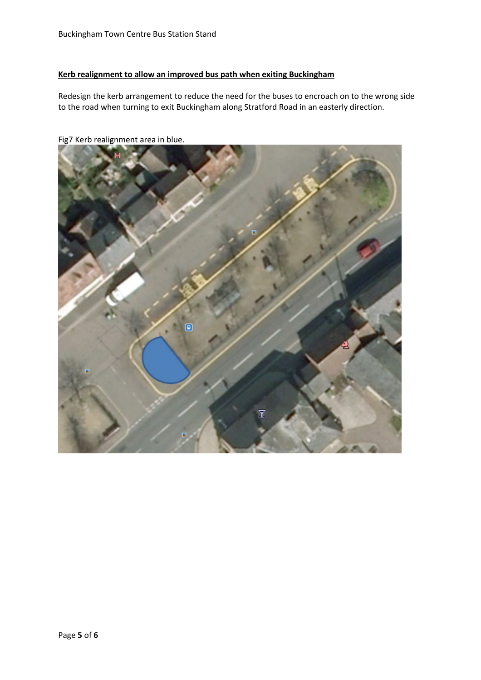#### **Kerb realignment to allow an improved bus path when exiting Buckingham**

Redesign the kerb arrangement to reduce the need for the buses to encroach on to the wrong side to the road when turning to exit Buckingham along Stratford Road in an easterly direction.



Fig7 Kerb realignment area in blue.